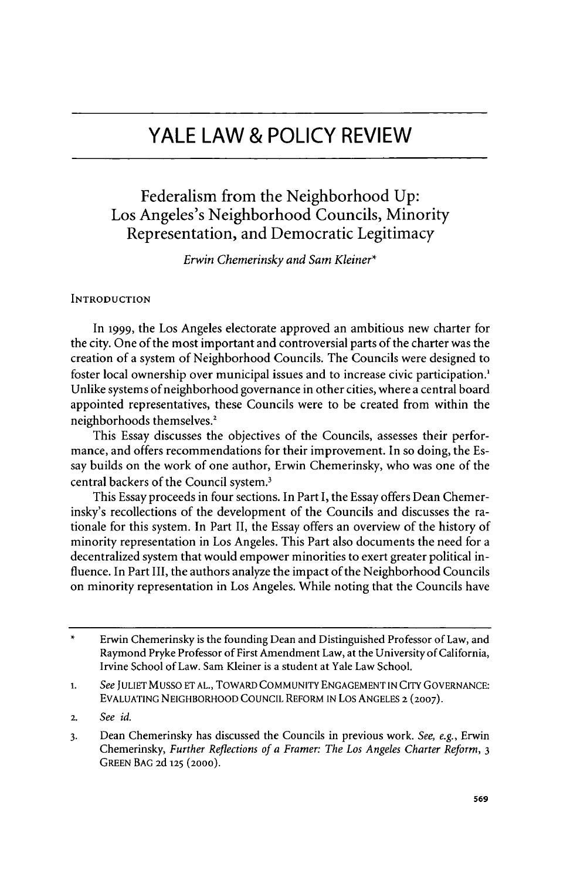# **YALE LAW & POLICY REVIEW**

## Federalism from the Neighborhood **Up:** Los Angeles's Neighborhood Councils, Minority Representation, and Democratic Legitimacy

*Erwin Chemerinsky and Sam Kleiner\**

## **INTRODUCTION**

In **1999,** the Los Angeles electorate approved an ambitious new charter for the city. One of the most important and controversial parts of the charter was the creation of a system of Neighborhood Councils. The Councils were designed to foster local ownership over municipal issues and to increase civic participation Unlike systems of neighborhood governance in other cities, where a central board appointed representatives, these Councils were to be created from within the neighborhoods themselves.'

This Essay discusses the objectives of the Councils, assesses their performance, and offers recommendations for their improvement. In so doing, the Essay builds on the work of one author, Erwin Chemerinsky, who was one of the central backers of the Council system.'

This Essay proceeds in four sections. In Part I, the Essay offers Dean Chemerinsky's recollections of the development of the Councils and discusses the rationale for this system. In Part **II,** the Essay offers an overview of the history of minority representation in Los Angeles. This Part also documents the need for a decentralized system that would empower minorities to exert greater political influence. In Part III, the authors analyze the impact of the Neighborhood Councils on minority representation in Los Angeles. While noting that the Councils have

<sup>\*</sup> Erwin Chemerinsky is the founding Dean and Distinguished Professor of Law, and Raymond Pryke Professor of First Amendment Law, at the University of California, Irvine School of Law. Sam Kleiner is a student at Yale Law School.

<sup>1.</sup> See JULIET MUSSO ET AL., TOWARD COMMUNITY ENGAGEMENT IN CITY GOVERNANCE: **EVALUATING** NEIGHBORHOOD **COUNCIL** REFORM **IN** Los **ANGELES** 2 **(2007).**

**<sup>2.</sup>** *See id.*

**<sup>3.</sup>** Dean Chemerinsky has discussed the Councils in previous work. *See, e.g.,* Erwin Chemerinsky, *Further Reflections of a Framer: The Los Angeles Charter Reform, 3* **GREEN BAG 2d 125 (2000).**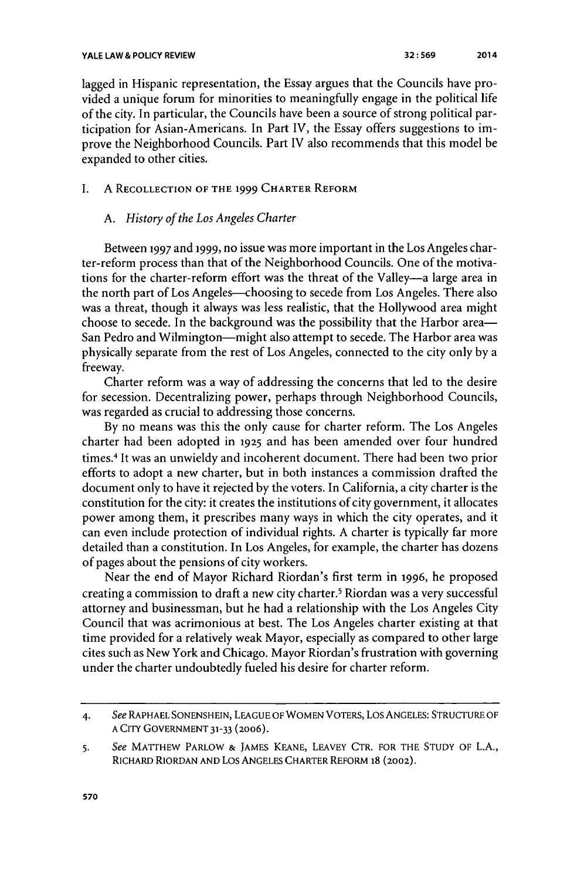lagged in Hispanic representation, the Essay argues that the Councils have provided a unique forum for minorities to meaningfully engage in the political life of the city. In particular, the Councils have been a source of strong political participation for Asian-Americans. In Part IV, the Essay offers suggestions to improve the Neighborhood Councils. Part IV also recommends that this model be expanded to other cities.

## **I. A RECOLLECTION OF THE 1999 CHARTER REFORM**

## *A. History of the Los Angeles Charter*

Between **1997** and **1999,** no issue was more important in the Los Angeles charter-reform process than that of the Neighborhood Councils. One of the motivations for the charter-reform effort was the threat of the Valley-a large area in the north part of Los Angeles-choosing to secede from Los Angeles. There also was a threat, though it always was less realistic, that the Hollywood area might choose to secede. In the background was the possibility that the Harbor area-San Pedro and Wilmington--might also attempt to secede. The Harbor area was physically separate from the rest of Los Angeles, connected to the city only **by** a freeway.

Charter reform was a way of addressing the concerns that led to the desire for secession. Decentralizing power, perhaps through Neighborhood Councils, was regarded as crucial to addressing those concerns.

**By** no means was this the only cause for charter reform. The Los Angeles charter had been adopted in **1925** and has been amended over four hundred times.4 It was an unwieldy and incoherent document. There had been two prior efforts to adopt a new charter, but in both instances a commission drafted the document only to have it rejected **by** the voters. In California, a city charter is the constitution for the city: it creates the institutions of city government, it allocates power among them, it prescribes many ways in which the city operates, and it can even include protection of individual rights. **A** charter is typically far more detailed than a constitution. In Los Angeles, for example, the charter has dozens of pages about the pensions of city workers.

Near the end of Mayor Richard Riordan's first term in **1996,** he proposed creating a commission to draft a new city charter.<sup>5</sup> Riordan was a very successful attorney and businessman, but he had a relationship with the Los Angeles City Council that was acrimonious at best. The Los Angeles charter existing at that time provided for a relatively weak Mayor, especially as compared to other large cites such as New York and Chicago. Mayor Riordan's frustration with governing under the charter undoubtedly fueled his desire for charter reform.

**<sup>4.</sup>** *See* RAPHAEL **SONENSHEIN, LEAGUE** OF WOMEN VOTERS, Los ANGELES: **STRUCTURE OF A** CITY **GOVERNMENT 31-33** (2006).

**<sup>5.</sup>** *See* MATTHEW PARLOW **&** JAMES **KEANE,** LEAVEY CTR. FOR THE **STUDY** OF **L.A.,** RICHARD RIORDAN **AND** Los **ANGELES** CHARTER REFORM **18 (2002).**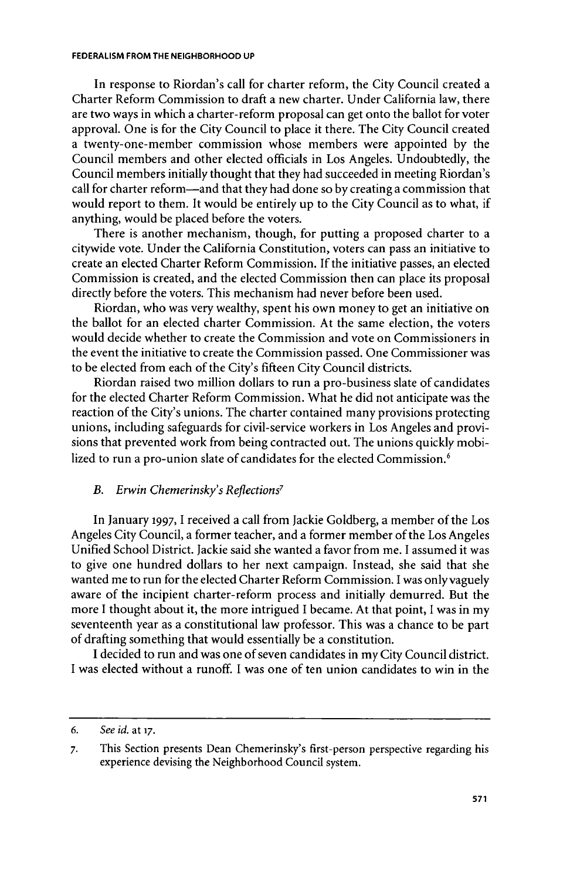#### **FEDERALISM FROM THE NEIGHBORHOOD UP**

In response to Riordan's call for charter reform, the City Council created a Charter Reform Commission to draft a new charter. Under California law, there are two ways in which a charter-reform proposal can get onto the ballot for voter approval. One is for the City Council to place it there. The City Council created a twenty-one-member commission whose members were appointed **by** the Council members and other elected officials in Los Angeles. Undoubtedly, the Council members initially thought that they had succeeded in meeting Riordan's call for charter reform-and that they had done so **by** creating a commission that would report to them. It would be entirely up to the City Council as to what, if anything, would be placed before the voters.

There is another mechanism, though, for putting a proposed charter to a citywide vote. Under the California Constitution, voters can pass an initiative to create an elected Charter Reform Commission. **If** the initiative passes, an elected Commission is created, and the elected Commission then can place its proposal directly before the voters. This mechanism had never before been used.

Riordan, who was very wealthy, spent his own money to get an initiative on the ballot for an elected charter Commission. At the same election, the voters would decide whether to create the Commission and vote on Commissioners in the event the initiative to create the Commission passed. One Commissioner was to be elected from each of the City's fifteen City Council districts.

Riordan raised two million dollars to run a pro-business slate of candidates for the elected Charter Reform Commission. What he did not anticipate was the reaction of the City's unions. The charter contained many provisions protecting unions, including safeguards for civil-service workers in Los Angeles and provisions that prevented work from being contracted out. The unions quickly mobilized to run a pro-union slate of candidates for the elected Commission.<sup>6</sup>

## *B. Erwin Chemerinsky's Reflections7*

In January **1997,** I received a call from Jackie Goldberg, a member of the Los Angeles City Council, a former teacher, and a former member of the Los Angeles Unified School District. Jackie said she wanted a favor from me. **I** assumed it was to give one hundred dollars to her next campaign. Instead, she said that she wanted me to run for the elected Charter Reform Commission. **I** was onlyvaguely aware of the incipient charter-reform process and initially demurred. But the more **I** thought about it, the more intrigued I became. At that point, **I** was in my seventeenth year as a constitutional law professor. This was a chance to be part of drafting something that would essentially be a constitution.

**I** decided to run and was one of seven candidates in my City Council district. **I** was elected without a runoff. **I** was one of ten union candidates to win in the

**<sup>6.</sup>** *See id. at* **17.**

**<sup>7.</sup>** This Section presents Dean Chemerinsky's first-person perspective regarding his experience devising the Neighborhood Council system.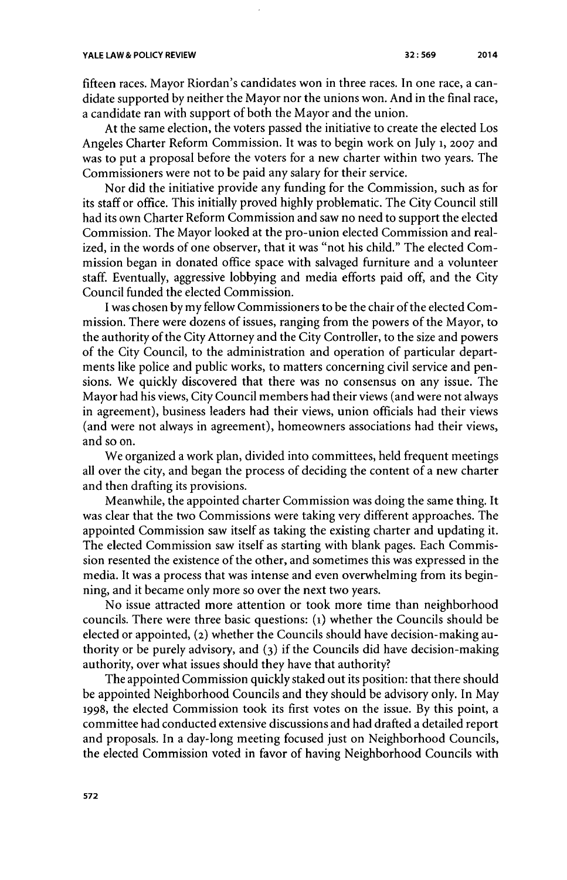fifteen races. Mayor Riordan's candidates won in three races. In one race, a candidate supported **by** neither the Mayor nor the unions won. And in the final race, a candidate ran with support of both the Mayor and the union.

At the same election, the voters passed the initiative to create the elected Los Angeles Charter Reform Commission. It was to begin work on **July 1, 2007** and was to put a proposal before the voters for a new charter within two years. The Commissioners were not to be paid any salary for their service.

Nor did the initiative provide any funding for the Commission, such as for its staff or office. This initially proved **highly** problematic. The City Council still had its own Charter Reform Commission and saw no need to support the elected Commission. The Mayor looked at the pro-union elected Commission and realized, in the words of one observer, that it was "not his child." The elected **Com**mission began in donated office space with salvaged furniture and a volunteer staff. Eventually, aggressive lobbying and media efforts paid off, and the City Council funded the elected Commission.

**I** was chosen **by** my fellow Commissioners to be the chair of the elected Commission. There were dozens of issues, ranging from the powers of the Mayor, to the authority of the City Attorney and the City Controller, to the size and powers of the City Council, to the administration and operation of particular departments like police and public works, to matters concerning civil service and pensions. We quickly discovered that there was no consensus on any issue. The Mayor had his views, City Council members had their views (and were not always in agreement), business leaders had their views, union officials had their views (and were not always in agreement), homeowners associations had their views, and so on.

We organized a work plan, divided into committees, held frequent meetings all over the city, and began the process of deciding the content of a new charter and then drafting its provisions.

Meanwhile, the appointed charter Commission was doing the same thing. It was clear that the two Commissions were taking very different approaches. The appointed Commission saw itself as taking the existing charter and updating it. The elected Commission saw itself as starting with blank pages. Each Commission resented the existence of the other, and sometimes this was expressed in the media. It was a process that was intense and even overwhelming from its beginning, and it became only more so over the next two years.

No issue attracted more attention or took more time than neighborhood councils. There were three basic questions: **(i)** whether the Councils should be elected or appointed, **(2)** whether the Councils should have decision-making authority or be purely advisory, and **(3)** if the Councils did have decision-making authority, over what issues should they have that authority?

The appointed Commission quickly staked out its position: that there should be appointed Neighborhood Councils and they should be advisory only. In May **1998,** the elected Commission took its first votes on the issue. **By** this point, a committee had conducted extensive discussions and had drafted a detailed report and proposals. In a day-long meeting focused just on Neighborhood Councils, the elected Commission voted in favor of having Neighborhood Councils with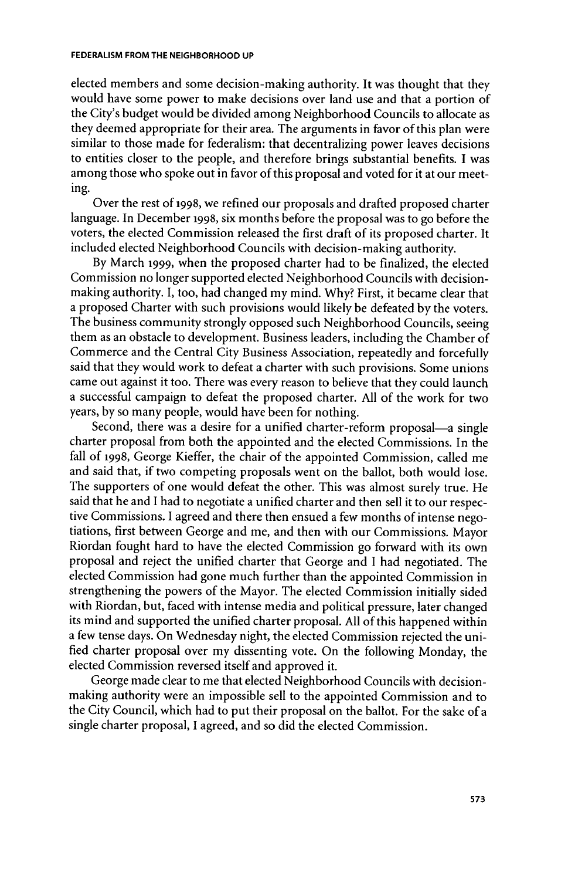#### **FEDERALISM FROM THE NEIGHBORHOOD UP**

elected members and some decision-making authority. It was thought that they would have some power to make decisions over land use and that a portion of the City's budget would be divided among Neighborhood Councils to allocate as they deemed appropriate for their area. The arguments in favor of this plan were similar to those made for federalism: that decentralizing power leaves decisions to entities closer to the people, and therefore brings substantial benefits. **I** was among those who spoke out in favor of this proposal and voted for it at our meeting.

Over the rest of 1998, we refined our proposals and drafted proposed charter language. In December **1998,** six months before the proposal was to go before the voters, the elected Commission released the first draft of its proposed charter. It included elected Neighborhood Councils with decision-making authority.

**By** March **1999,** when the proposed charter had to be finalized, the elected Commission no longer supported elected Neighborhood Councils with decisionmaking authority. **I,** too, had changed my mind. **Why?** First, it became clear that a proposed Charter with such provisions would likely be defeated **by** the voters. The business community strongly opposed such Neighborhood Councils, seeing them as an obstacle to development. Business leaders, including the Chamber of Commerce and the Central City Business Association, repeatedly and forcefully said that they would work to defeat a charter with such provisions. Some unions came out against it too. There was every reason to believe that they could launch a successful campaign to defeat the proposed charter. **All** of the work for two years, **by** so many people, would have been for nothing.

Second, there was a desire for a unified charter-reform proposal—a single charter proposal from both the appointed and the elected Commissions. In the fall of **1998,** George Kieffer, the chair of the appointed Commission, called me and said that, if two competing proposals went on the ballot, both would lose. The supporters of one would defeat the other. This was almost surely true. He said that he and **I** had to negotiate a unified charter and then sell it to our respective Commissions. **I** agreed and there then ensued a few months of intense negotiations, first between George and me, and then with our Commissions. Mayor Riordan fought hard to have the elected Commission go forward with its own proposal and reject the unified charter that George and **I** had negotiated. The elected Commission had gone much further than the appointed Commission in strengthening the powers of the Mayor. The elected Commission initially sided with Riordan, but, faced with intense media and political pressure, later changed its mind and supported the unified charter proposal. **All** of this happened within a few tense days. On Wednesday night, the elected Commission rejected the unified charter proposal over my dissenting vote. On the following Monday, the elected Commission reversed itself and approved it.

George made clear to me that elected Neighborhood Councils with decisionmaking authority were an impossible sell to the appointed Commission and to the City Council, which had to put their proposal on the ballot. For the sake of a single charter proposal, **I** agreed, and so did the elected Commission.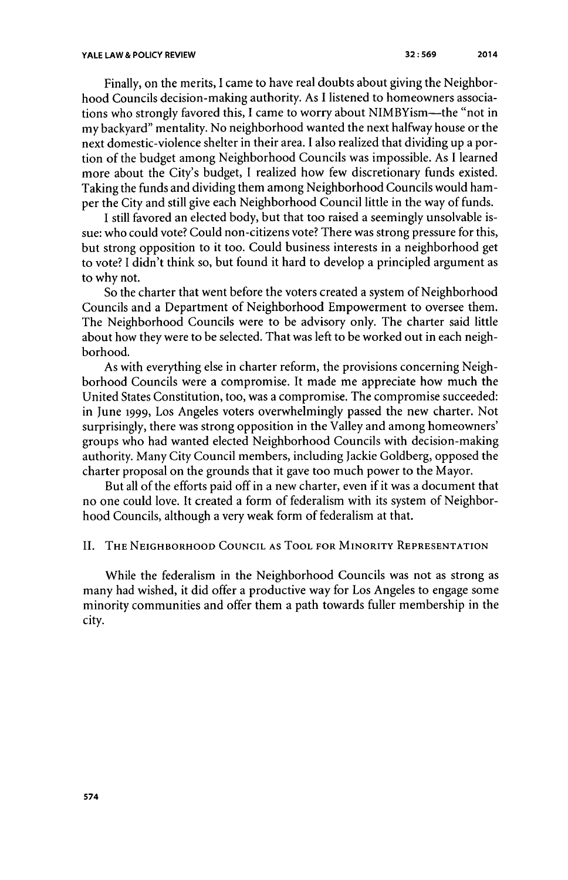Finally, on the merits, **I** came to have real doubts about giving the Neighborhood Councils decision-making authority. As **I** listened to homeowners associations who strongly favored this, **I** came to worry about NIMBYism-the "not in my backyard" mentality. No neighborhood wanted the next halfway house or the next domestic-violence shelter in their area. **I** also realized that dividing up a portion of the budget among Neighborhood Councils was impossible. As **I** learned more about the City's budget, **I** realized how few discretionary funds existed. Taking the funds and dividing them among Neighborhood Councils would hamper the City and still give each Neighborhood Council little in the way of funds.

**I** still favored an elected body, but that too raised a seemingly unsolvable issue: who could vote? Could non-citizens vote? There was strong pressure for this, but strong opposition to it too. Could business interests in a neighborhood get to vote? **I** didn't think so, but found it hard to develop a principled argument as to why not.

So the charter that went before the voters created a system of Neighborhood Councils and a Department of Neighborhood Empowerment to oversee them. The Neighborhood Councils were to be advisory only. The charter said little about how they were to be selected. That was left to be worked out in each neighborhood.

As with everything else in charter reform, the provisions concerning Neighborhood Councils were a compromise. It made me appreciate how much the United States Constitution, too, was a compromise. The compromise succeeded: in June **1999,** Los Angeles voters overwhelmingly passed the new charter. Not surprisingly, there was strong opposition in the Valley and among homeowners' groups who had wanted elected Neighborhood Councils with decision-making authority. Many City Council members, including Jackie Goldberg, opposed the charter proposal on the grounds that it gave too much power to the Mayor.

But all of the efforts paid off in a new charter, even if it was a document that no one could love. It created a form of federalism with its system of Neighborhood Councils, although a very weak form of federalism at that.

## **II. THE NEIGHBORHOOD COUNCIL AS TOOL FOR MINORITY REPRESENTATION**

While the federalism in the Neighborhood Councils was not as strong as many had wished, it did offer a productive way for Los Angeles to engage some minority communities and offer them a path towards fuller membership in the city.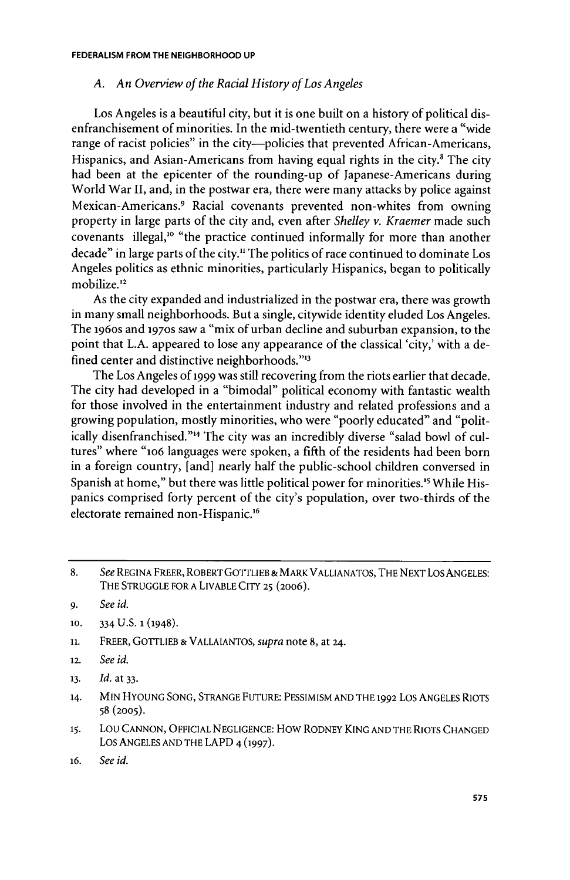## *A. An Overview of the Racial History of Los Angeles*

Los Angeles is a beautiful city, but it is one built on a history of political disenfranchisement of minorities. In the mid-twentieth century, there were a "wide range of racist policies" in the city—policies that prevented African-Americans, Hispanics, and Asian-Americans from having equal rights in the city.<sup>8</sup> The city had been at the epicenter of the rounding-up of Japanese-Americans during World War **II,** and, in the postwar era, there were many attacks **by** police against Mexican-Americans.<sup>9</sup> Racial covenants prevented non-whites from owning property in large parts of the city and, even after *Shelley v. Kraemer* made such covenants illegal,'o "the practice continued informally for more than another decade" in large parts of the city." The politics of race continued to dominate Los Angeles politics as ethnic minorities, particularly Hispanics, began to politically mobilize."

As the city expanded and industrialized in the postwar era, there was growth in many small neighborhoods. But a single, citywide identity eluded Los Angeles. The 196os and **1970s** saw a "mix of urban decline and suburban expansion, to the point that **L.A.** appeared to lose any appearance of the classical 'city,' with a defined center and distinctive neighborhoods."<sup>13</sup>

The Los Angeles of **1999** was still recovering from the riots earlier that decade. The city had developed in a "bimodal" political economy with fantastic wealth for those involved in the entertainment industry and related professions and a growing population, mostly minorities, who were "poorly educated" and "politically disenfranchised."<sup>14</sup> The city was an incredibly diverse "salad bowl of cultures" where "1o6 languages were spoken, a fifth of the residents had been born in a foreign country, [and] nearly half the public-school children conversed in Spanish at home," but there was little political power for minorities.<sup>15</sup> While Hispanics comprised forty percent of the city's population, over two-thirds of the electorate remained non-Hispanic.<sup>16</sup>

- **10.** 334 **U.S. 1** (1948).
- **11.** FREER, **GOTTLIEB & VALLAIANTOS,** *supra* note **8,** at 24.
- **12.** *See id.*
- **13.** *Id. at* **33.**
- **14. MIN HYOUNG SONG, STRANGE FUTURE:** PESSIMISM **AND** THE 1992 Los ANGELES RIOTS **58 (2005).**
- **15.** LOU **CANNON, OFFICIAL NEGLIGENCE:** How RODNEY **KING AND** THE RIOTS **CHANGED** LOS **ANGELES AND** THE LAPD **4 (1997).**
- 16. *See id.*

**<sup>8.</sup>** *See* **REGINA** FREER, ROBERT GOTTLIEB & MARK VALLIANATOS, THE NEXT Los ANGELES: THE **STRUGGLE** FOR **A** LIVABLE CITY **25** (2006).

**<sup>9.</sup>** *See id.*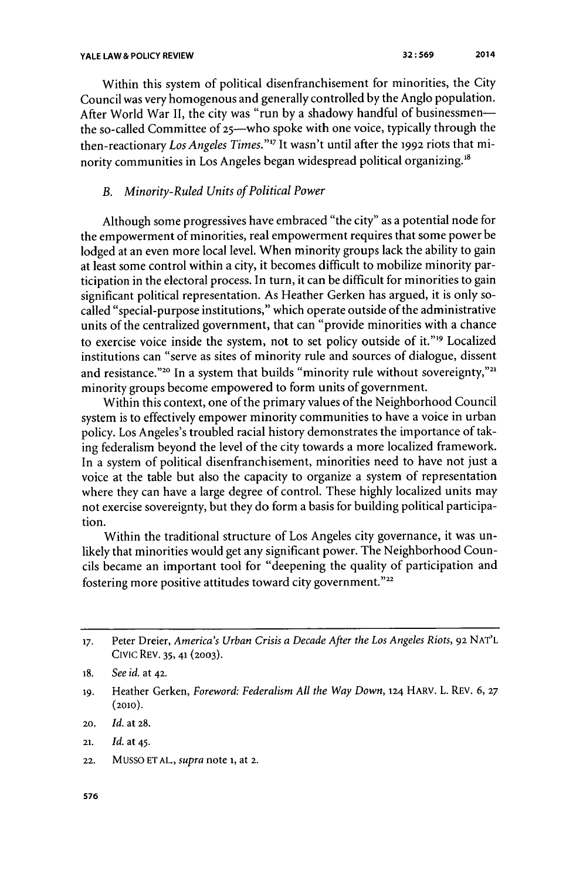Within this system of political disenfranchisement for minorities, the City Council was very homogenous and generally controlled **by** the Anglo population. After World War **II,** the city was "run **by** a shadowy handful of businessmenthe so-called Committee of 25-who spoke with one voice, typically through the then-reactionary *Los Angeles Times.""* It wasn't until after the **1992** riots that minority communities in Los Angeles began widespread political organizing."

## *B. Minority-Ruled Units of Political Power*

Although some progressives have embraced "the city" as a potential node for the empowerment of minorities, real empowerment requires that some power be lodged at an even more local level. When minority groups lack the ability to gain at least some control within a city, it becomes difficult to mobilize minority participation in the electoral process. In turn, it can be difficult for minorities to gain significant political representation. As Heather Gerken has argued, it is only socalled "special-purpose institutions," which operate outside of the administrative units of the centralized government, that can "provide minorities with a chance to exercise voice inside the system, not to set policy outside of it."<sup>19</sup> Localized institutions can "serve as sites of minority rule and sources of dialogue, dissent and resistance."<sup>20</sup> In a system that builds "minority rule without sovereignty,"<sup>21</sup> minority groups become empowered to form units of government.

Within this context, one of the primary values of the Neighborhood Council system is to effectively empower minority communities to have a voice in urban policy. Los Angeles's troubled racial history demonstrates the importance of taking federalism beyond the level of the city towards a more localized framework. In a system of political disenfranchisement, minorities need to have not just a voice at the table but also the capacity to organize a system of representation where they can have a large degree of control. These **highly** localized units may not exercise sovereignty, but they do form a basis for building political participation.

Within the traditional structure of Los Angeles city governance, it was unlikely that minorities would get any significant power. The Neighborhood Councils became an important tool for "deepening the quality of participation and fostering more positive attitudes toward city government."22

**19.** Heather Gerken, *Foreword: Federalism All the Way Down,* **124** HARV. L. REV. **6, 27 (2010).**

<sup>17.</sup> Peter Dreier, *America's Urban Crisis a Decade After the Los Angeles Riots*, 92 NAT'L Civic REV. **35, 41 (2003).**

**<sup>18.</sup>** *See id. at* **42.**

**<sup>20.</sup>** *Id.* at **28.**

**<sup>21.</sup>** *Id.* at 45.

**<sup>22.</sup> MUSSO ET AL., supra note i, at 2.**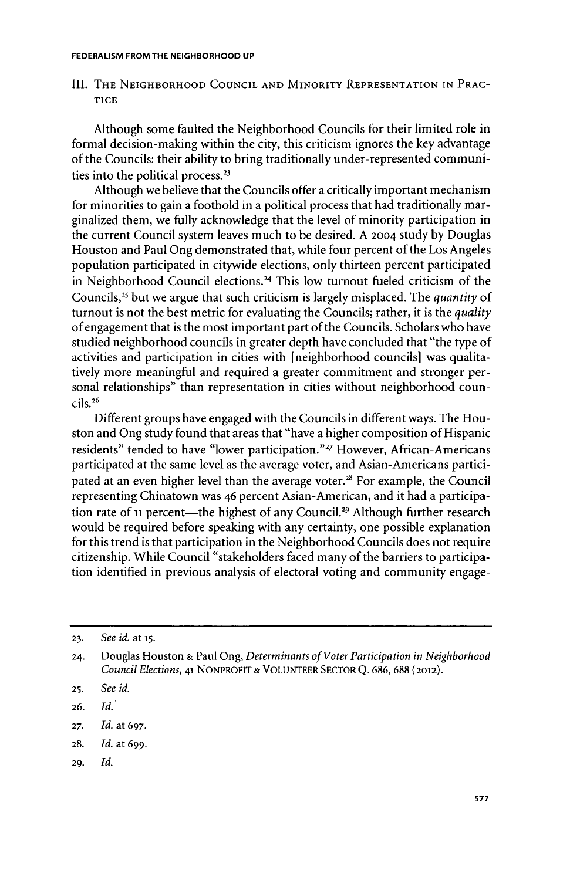III. THE NEIGHBORHOOD COUNCIL AND MINORITY REPRESENTATION IN PRAC-**TICE**

Although some faulted the Neighborhood Councils for their limited role in formal decision-making within the city, this criticism ignores the key advantage of the Councils: their ability to bring traditionally under-represented communities into the political process.<sup>23</sup>

Although we believe that the Councils offer a critically important mechanism for minorities to gain a foothold in a political process that had traditionally marginalized them, we fully acknowledge that the level of minority participation in the current Council system leaves much to be desired. **A 2004** study **by** Douglas Houston and Paul Ong demonstrated that, while four percent of the Los Angeles population participated in citywide elections, only thirteen percent participated in Neighborhood Council elections.<sup>24</sup> This low turnout fueled criticism of the Councils,<sup>25</sup> but we argue that such criticism is largely misplaced. The *quantity* of turnout is not the best metric for evaluating the Councils; rather, it is the *quality* of engagement that is the most important part of the Councils. Scholars who have studied neighborhood councils in greater depth have concluded that "the type of activities and participation in cities with [neighborhood councils] was qualitatively more meaningful and required a greater commitment and stronger personal relationships" than representation in cities without neighborhood coun**cils.26**

Different groups have engaged with the Councils in different ways. The Houston and Ong study found that areas that "have a higher composition of Hispanic residents" tended to have "lower participation."<sup>27</sup> However, African-Americans participated at the same level as the average voter, and Asian-Americans participated at an even higher level than the average voter.<sup>28</sup> For example, the Council representing Chinatown was *46* percent Asian-American, and it had a participation rate of 11 percent-the highest of any Council.<sup>29</sup> Although further research would be required before speaking with any certainty, one possible explanation for this trend is that participation in the Neighborhood Councils does not require citizenship. While Council "stakeholders faced many of the barriers to participation identified in previous analysis of electoral voting and community engage-

**29.** *Id.*

**<sup>23.</sup>** *See id.* at **15.**

*<sup>24.</sup>* Douglas Houston **&** Paul Ong, *Determinants of Voter Participation in Neighborhood Council Elections,* 41 NONPROFIT **& VOLUNTEER** SECTOR **Q. 686, 688** (2012).

**<sup>25.</sup>** *See id.*

**<sup>26.</sup>** *Id.*

**<sup>27.</sup>** *Id.* **at 697.**

**<sup>28.</sup>** *Id.* at **699.**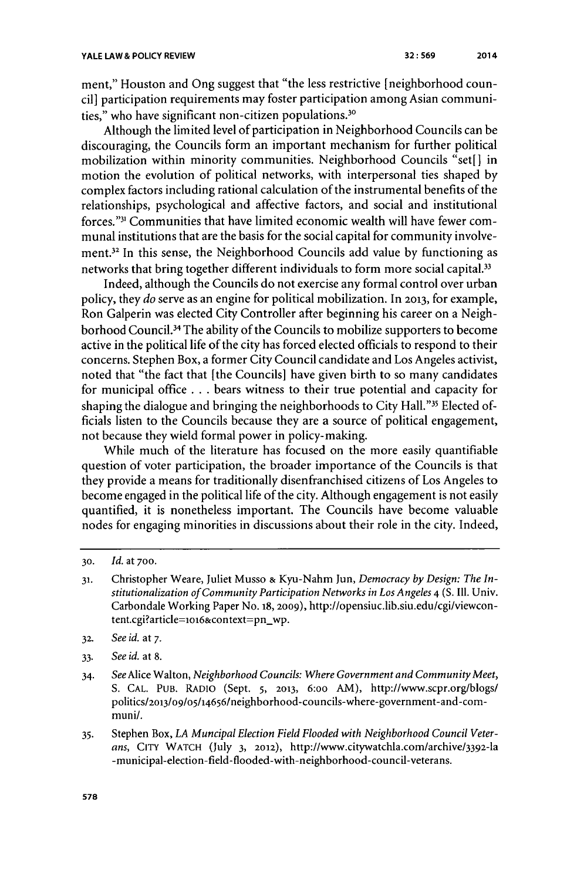ment," Houston and Ong suggest that "the less restrictive [neighborhood council] participation requirements may foster participation among Asian communities," who have significant non-citizen populations. $30$ 

Although the limited level of participation in Neighborhood Councils can be discouraging, the Councils form an important mechanism for further political mobilization within minority communities. Neighborhood Councils "set[] in motion the evolution of political networks, with interpersonal ties shaped **by** complex factors including rational calculation of the instrumental benefits of the relationships, psychological and affective factors, and social and institutional forces."" Communities that have limited economic wealth will have fewer communal institutions that are the basis for the social capital for community involvement.32 In this sense, the Neighborhood Councils add value **by** functioning as networks that bring together different individuals to form more social capital.<sup>33</sup>

Indeed, although the Councils do not exercise any formal control over urban policy, they *do* serve as an engine for political mobilization. In **2013,** for example, Ron Galperin was elected City Controller after beginning his career on a Neighborhood Council.<sup>34</sup> The ability of the Councils to mobilize supporters to become active in the political life of the city has forced elected officials to respond to their concerns. Stephen Box, a former City Council candidate and Los Angeles activist, noted that "the fact that [the Councils] have given birth to so many candidates for municipal office **.** . **.** bears witness to their true potential and capacity for shaping the dialogue and bringing the neighborhoods to City Hall."<sup>35</sup> Elected officials listen to the Councils because they are a source of political engagement, not because they wield formal power in policy-making.

While much of the literature has focused on the more easily quantifiable question of voter participation, the broader importance of the Councils is that they provide a means for traditionally disenfranchised citizens of Los Angeles to become engaged in the political life of the city. Although engagement is not easily quantified, it is nonetheless important. The Councils have become valuable nodes for engaging minorities in discussions about their role in the city. Indeed,

- **31.** Christopher Weare, Juliet Musso **&** Kyu-Nahm Jun, *Democracy by Design: The Institutionalization of Community Participation Networks in Los Angeles* 4 **(S.** Ill. Univ. Carbondale Working Paper No. **18, 2009),** http://opensiuc.lib.siu.edu/cgi/viewcontent.cgi?article=lo16&context=pn-wp.
- **32.** *See id. at* **7.**
- **33.** *See id.* at **8.**
- 34. *See* Alice Walton, *Neighborhood Councils: Where Government and Community Meet,* **S. CAL. PUB.** RADIO (Sept. **5, 2013, 6:oo** AM), *http://www.scpr.org/blogs/* politics/2013/09/o5/14656/neighborhood-councils-where-government-and-communil.
- **35.** Stephen Box, *LA Muncipal Election Field Flooded with Neighborhood Council Veterans,* CITY WATCH (July **3, 2012),** http://www.citywatchla.com/archive/3392-la -municipal-election- field-flooded-with-neighborhood-council-veterans.

**578**

**<sup>30.</sup>** *Id. at* **700.**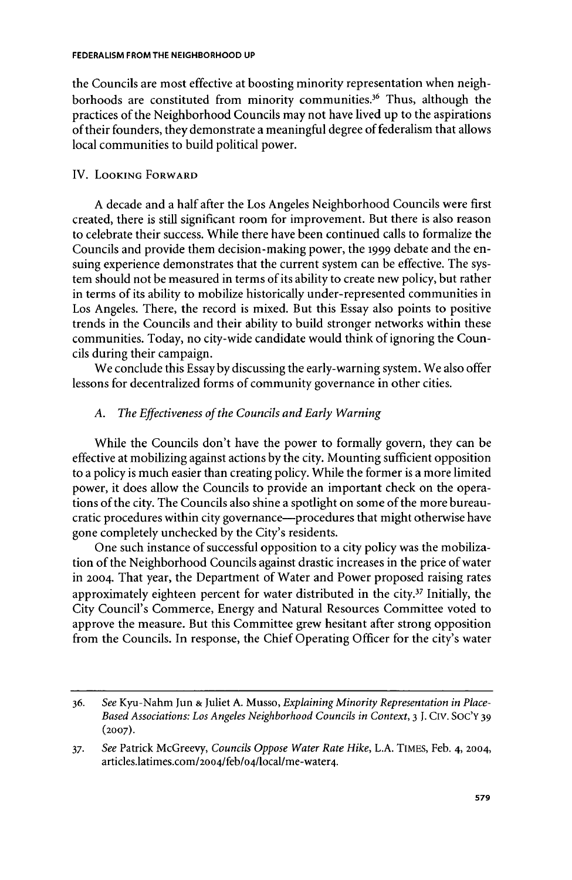the Councils are most effective at boosting minority representation when neighborhoods are constituted from minority communities.<sup>36</sup> Thus, although the practices of the Neighborhood Councils may not have lived up to the aspirations of their founders, they demonstrate a meaningful degree of federalism that allows local communities to build political power.

## IV. **LOOKING FORWARD**

**A** decade and a half after the Los Angeles Neighborhood Councils were first created, there is still significant room for improvement. But there is also reason to celebrate their success. While there have been continued calls to formalize the Councils and provide them decision-making power, the **1999** debate and the ensuing experience demonstrates that the current system can be effective. The system should not be measured in terms of its ability to create new policy, but rather in terms of its ability to mobilize historically under-represented communities in Los Angeles. There, the record is mixed. But this Essay also points to positive trends in the Councils and their ability to build stronger networks within these communities. Today, no city-wide candidate would think of ignoring the Councils during their campaign.

We conclude this Essay **by** discussing the early-warning system. We also offer lessons for decentralized forms of community governance in other cities.

## *A. The Effectiveness of the Councils and Early Warning*

While the Councils don't have the power to formally govern, they can be effective at mobilizing against actions **by** the city. Mounting sufficient opposition to a policy is much easier than creating policy. While the former is a more limited power, it does allow the Councils to provide an important check on the operations of the city. The Councils also shine a spotlight on some of the more bureaucratic procedures within city governance-procedures that might otherwise have gone completely unchecked **by** the City's residents.

One such instance of successful opposition to a city policy was the mobilization of the Neighborhood Councils against drastic increases in the price of water in **2004.** That year, the Department of Water and Power proposed raising rates approximately eighteen percent for water distributed in the city.37 Initially, the City Council's Commerce, Energy and Natural Resources Committee voted to approve the measure. But this Committee grew hesitant after strong opposition from the Councils. In response, the Chief Operating Officer for the city's water

**<sup>36.</sup>** *See* Kyu-Nahm Jun **&** Juliet **A.** Musso, *Explaining Minority Representation in Place-Based Associations: Los Angeles Neighborhood Councils in Context,* **3 J.** CIV. **SOC'Y 39 (2007).**

**<sup>37.</sup>** *See* Patrick McGreevy, *Councils Oppose Water Rate Hike,* **L.A.** TIMES, Feb. 4, **2004,** articles.latimes.com/2oo4/feb/o4/local/me-water4.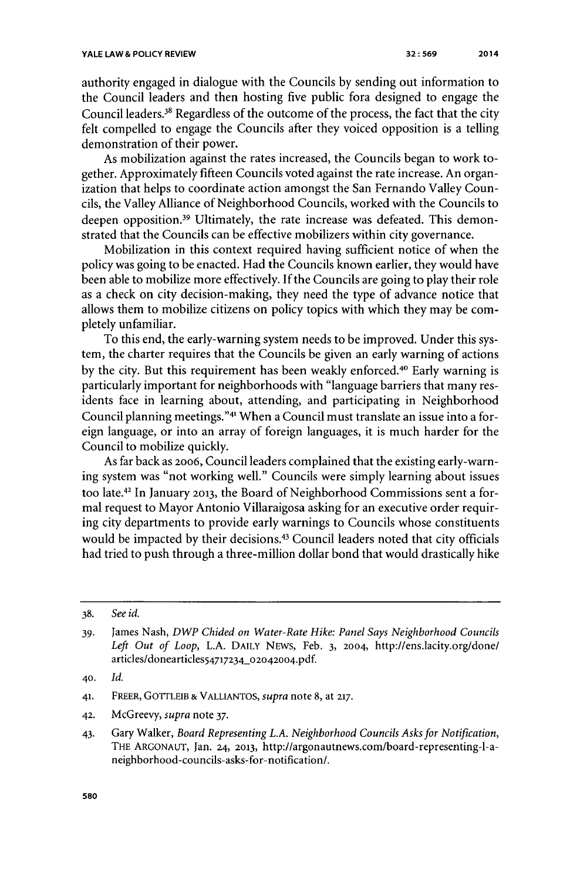authority engaged in dialogue with the Councils **by** sending out information to the Council leaders and then hosting five public fora designed to engage the Council leaders.<sup>38</sup> Regardless of the outcome of the process, the fact that the city felt compelled to engage the Councils after they voiced opposition is a telling demonstration of their power.

As mobilization against the rates increased, the Councils began to work together. Approximately fifteen Councils voted against the rate increase. An organization that helps to coordinate action amongst the San Fernando Valley Councils, the Valley Alliance of Neighborhood Councils, worked with the Councils to deepen opposition.<sup>39</sup> Ultimately, the rate increase was defeated. This demonstrated that the Councils can be effective mobilizers within city governance.

Mobilization in this context required having sufficient notice of when the policy was going to be enacted. Had the Councils known earlier, they would have been able to mobilize more effectively. **If** the Councils are going to play their role as a check on city decision-making, they need the type of advance notice that allows them to mobilize citizens on policy topics with which they may be completely unfamiliar.

To this end, the early-warning system needs to be improved. Under this system, the charter requires that the Councils be given an early warning of actions by the city. But this requirement has been weakly enforced.<sup>40</sup> Early warning is particularly important for neighborhoods with "language barriers that many residents face in learning about, attending, and participating in Neighborhood Council planning meetings."<sup>41</sup> When a Council must translate an issue into a foreign language, or into an array of foreign languages, it is much harder for the Council to mobilize quickly.

As far back as 20o6, Council leaders complained that the existing early-warning system was "not working well." Councils were simply learning about issues too late.42 In January **2013,** the Board of Neighborhood Commissions sent a formal request to Mayor Antonio Villaraigosa asking for an executive order requiring city departments to provide early warnings to Councils whose constituents would be impacted **by** their decisions. 43 Council leaders noted that city officials had tried to push through a three-million dollar bond that would drastically hike

**40.** *Id.*

- **42.** McGreevy, *supra note* **37.**
- 43. Gary Walker, *Board Representing L.A. Neighborhood Councils Asks for Notification,* THE **ARGONAUT,** Jan. **24, 2013,** http://argonautnews.com/board-representing-l-aneighborhood-councils-asks-for-notification/.

**<sup>38.</sup>** *See id.*

*<sup>39.</sup>* James Nash, *DWP Chided on Water-Rate Hike: Panel Says Neighborhood Councils Left Out of Loop,* **L.A. DAILY** NEWs, Feb. **3, 2004,** http://ens.lacity.org/done/ articles/donearticles54717234\_02042004.pdf.

**<sup>41.</sup> FREER, GOTTLEIB & VALLIANTOS,** *supra* note **8,** at **217.**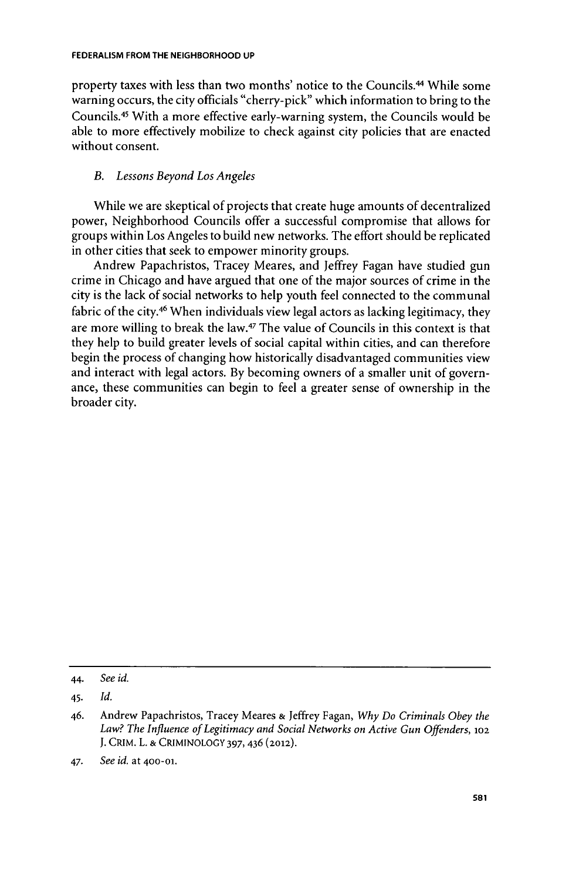property taxes with less than two months' notice to the Councils. 4 While some warning occurs, the city officials "cherry-pick" which information to bring to the Councils.<sup>45</sup> With a more effective early-warning system, the Councils would be able to more effectively mobilize to check against city policies that are enacted without consent.

## *B. Lessons Beyond Los Angeles*

While we are skeptical of projects that create huge amounts of decentralized power, Neighborhood Councils offer a successful compromise that allows for groups within Los Angeles to build new networks. The effort should be replicated in other cities that seek to empower minority groups.

Andrew Papachristos, Tracey Meares, and Jeffrey Fagan have studied gun crime in Chicago and have argued that one of the major sources of crime in the city is the lack of social networks to help youth feel connected to the communal fabric of the city.<sup>46</sup> When individuals view legal actors as lacking legitimacy, they are more willing to break the law.47 The value of Councils in this context is that they help to build greater levels of social capital within cities, and can therefore begin the process of changing how historically disadvantaged communities view and interact with legal actors. **By** becoming owners of a smaller unit of governance, these communities can begin to feel a greater sense of ownership in the broader city.

<sup>44.</sup> *See id.*

<sup>45.</sup> *Id.*

*<sup>46.</sup>* Andrew Papachristos, Tracey Meares **&** Jeffrey Fagan, *Why Do Criminals Obey the* Law? The Influence of Legitimacy and Social Networks on Active Gun Offenders, 102 **J.** CRIM. L. **& CRIMINOLOGY 397,436 (2012).**

<sup>47.</sup> *See id. at* **400-01.**